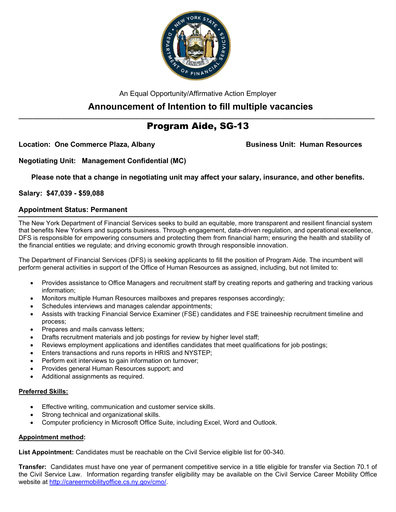

An Equal Opportunity/Affirmative Action Employer

# **Announcement of Intention to fill multiple vacancies**

# **\_\_\_\_\_\_\_\_\_\_\_\_\_\_\_\_\_\_\_\_\_\_\_\_\_\_\_\_\_\_\_\_\_\_\_\_\_\_\_\_\_\_\_\_\_\_\_\_\_\_\_\_\_\_\_\_\_\_\_\_\_\_\_\_\_\_\_\_\_\_\_\_\_\_\_\_\_\_\_\_\_\_\_\_\_\_\_\_\_\_\_\_\_\_\_\_\_\_\_** Program Aide, SG-13

Location: One Commerce Plaza, Albany **Business Unit: Human Resources** 

**Negotiating Unit: Management Confidential (MC)**

**Please note that a change in negotiating unit may affect your salary, insurance, and other benefits.**

## **Salary: \$47,039 - \$59,088**

### **Appointment Status: Permanent**

The New York Department of Financial Services seeks to build an equitable, more transparent and resilient financial system that benefits New Yorkers and supports business. Through engagement, data-driven regulation, and operational excellence, DFS is responsible for empowering consumers and protecting them from financial harm; ensuring the health and stability of the financial entities we regulate; and driving economic growth through responsible innovation.

The Department of Financial Services (DFS) is seeking applicants to fill the position of Program Aide. The incumbent will perform general activities in support of the Office of Human Resources as assigned, including, but not limited to:

- Provides assistance to Office Managers and recruitment staff by creating reports and gathering and tracking various information;
- Monitors multiple Human Resources mailboxes and prepares responses accordingly;
- Schedules interviews and manages calendar appointments;
- Assists with tracking Financial Service Examiner (FSE) candidates and FSE traineeship recruitment timeline and process;
- Prepares and mails canvass letters;
- Drafts recruitment materials and job postings for review by higher level staff;
- Reviews employment applications and identifies candidates that meet qualifications for job postings;
- Enters transactions and runs reports in HRIS and NYSTEP;
- Perform exit interviews to gain information on turnover;
- Provides general Human Resources support; and
- Additional assignments as required.

#### **Preferred Skills:**

- Effective writing, communication and customer service skills.
- Strong technical and organizational skills.
- Computer proficiency in Microsoft Office Suite, including Excel, Word and Outlook.

#### **Appointment method:**

**List Appointment:** Candidates must be reachable on the Civil Service eligible list for 00-340.

**Transfer:** Candidates must have one year of permanent competitive service in a title eligible for transfer via Section 70.1 of the Civil Service Law. Information regarding transfer eligibility may be available on the Civil Service Career Mobility Office website at [http://careermobilityoffice.cs.ny.gov/cmo/.](http://careermobilityoffice.cs.ny.gov/cmo/)